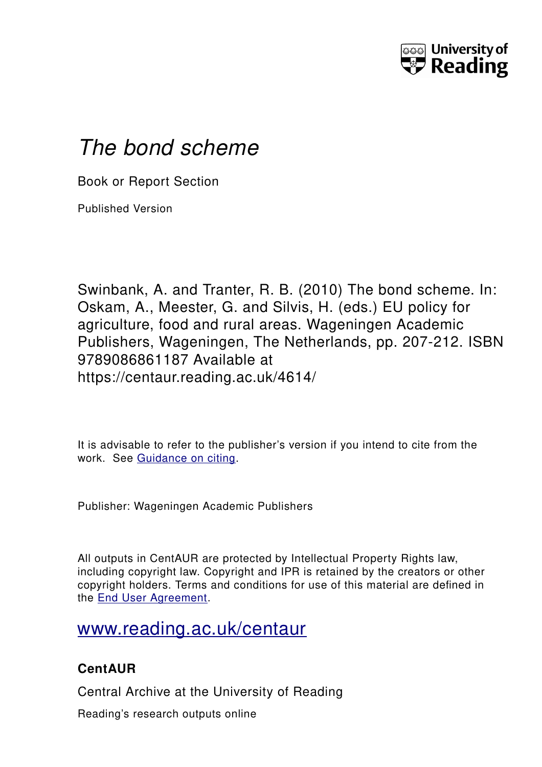

# *The bond scheme*

Book or Report Section

Published Version

Swinbank, A. and Tranter, R. B. (2010) The bond scheme. In: Oskam, A., Meester, G. and Silvis, H. (eds.) EU policy for agriculture, food and rural areas. Wageningen Academic Publishers, Wageningen, The Netherlands, pp. 207-212. ISBN 9789086861187 Available at https://centaur.reading.ac.uk/4614/

It is advisable to refer to the publisher's version if you intend to cite from the work. See [Guidance on citing.](http://centaur.reading.ac.uk/71187/10/CentAUR%20citing%20guide.pdf)

Publisher: Wageningen Academic Publishers

All outputs in CentAUR are protected by Intellectual Property Rights law, including copyright law. Copyright and IPR is retained by the creators or other copyright holders. Terms and conditions for use of this material are defined in the [End User Agreement.](http://centaur.reading.ac.uk/licence)

# [www.reading.ac.uk/centaur](http://www.reading.ac.uk/centaur)

### **CentAUR**

Central Archive at the University of Reading

Reading's research outputs online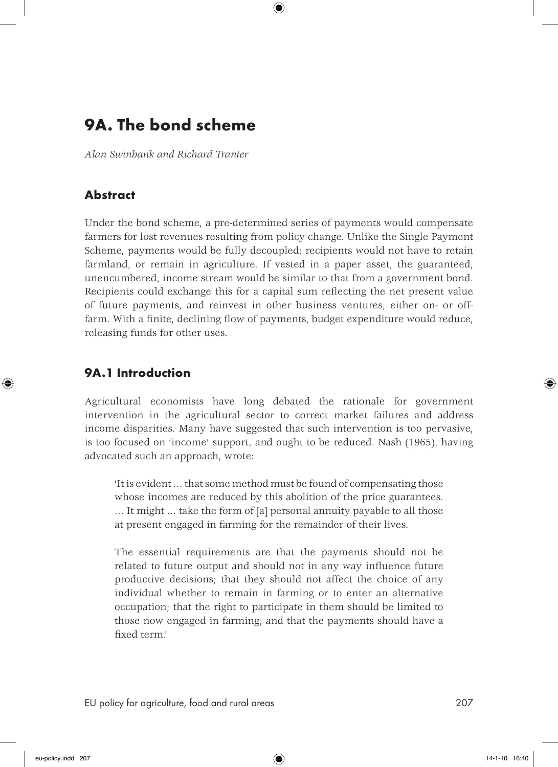## 9A. The bond scheme

*Alan Swinbank and Richard Tranter*

#### Abstract

Under the bond scheme, a pre-determined series of payments would compensate farmers for lost revenues resulting from policy change. Unlike the Single Payment Scheme, payments would be fully decoupled: recipients would not have to retain farmland, or remain in agriculture. If vested in a paper asset, the guaranteed, unencumbered, income stream would be similar to that from a government bond. Recipients could exchange this for a capital sum reflecting the net present value of future payments, and reinvest in other business ventures, either on- or offfarm. With a finite, declining flow of payments, budget expenditure would reduce, releasing funds for other uses.

#### 9A.1 Introduction

Agricultural economists have long debated the rationale for government intervention in the agricultural sector to correct market failures and address income disparities. Many have suggested that such intervention is too pervasive, is too focused on 'income' support, and ought to be reduced. Nash (1965), having advocated such an approach, wrote:

'It is evident … that some method must be found of compensating those whose incomes are reduced by this abolition of the price guarantees. … It might … take the form of [a] personal annuity payable to all those at present engaged in farming for the remainder of their lives.

The essential requirements are that the payments should not be related to future output and should not in any way influence future productive decisions; that they should not affect the choice of any individual whether to remain in farming or to enter an alternative occupation; that the right to participate in them should be limited to those now engaged in farming; and that the payments should have a fixed term.'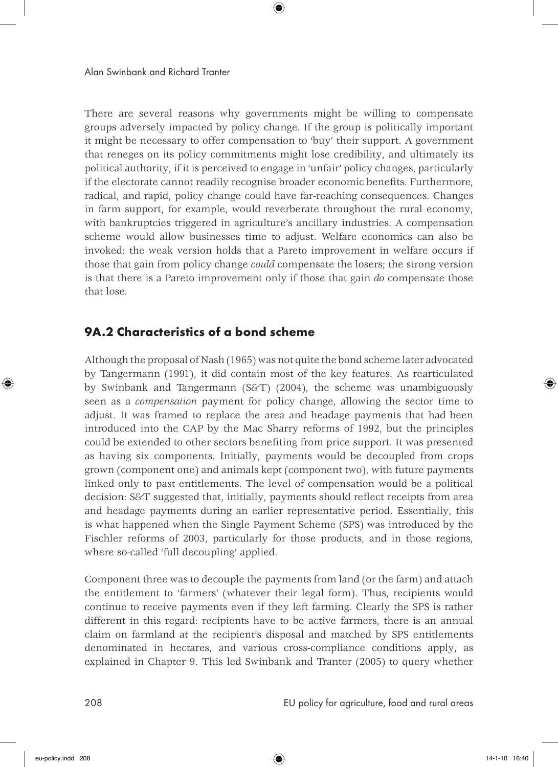There are several reasons why governments might be willing to compensate groups adversely impacted by policy change. If the group is politically important it might be necessary to offer compensation to 'buy' their support. A government that reneges on its policy commitments might lose credibility, and ultimately its political authority, if it is perceived to engage in 'unfair' policy changes, particularly if the electorate cannot readily recognise broader economic benefits. Furthermore, radical, and rapid, policy change could have far-reaching consequences. Changes in farm support, for example, would reverberate throughout the rural economy, with bankruptcies triggered in agriculture's ancillary industries. A compensation scheme would allow businesses time to adjust. Welfare economics can also be invoked: the weak version holds that a Pareto improvement in welfare occurs if those that gain from policy change *could* compensate the losers; the strong version is that there is a Pareto improvement only if those that gain *do* compensate those that lose.

#### 9A.2 Characteristics of a bond scheme

Although the proposal of Nash (1965) was not quite the bond scheme later advocated by Tangermann (1991), it did contain most of the key features. As rearticulated by Swinbank and Tangermann (S&T) (2004), the scheme was unambiguously seen as a *compensation* payment for policy change, allowing the sector time to adjust. It was framed to replace the area and headage payments that had been introduced into the CAP by the Mac Sharry reforms of 1992, but the principles could be extended to other sectors benefiting from price support. It was presented as having six components. Initially, payments would be decoupled from crops grown (component one) and animals kept (component two), with future payments linked only to past entitlements. The level of compensation would be a political decision: S&T suggested that, initially, payments should reflect receipts from area and headage payments during an earlier representative period. Essentially, this is what happened when the Single Payment Scheme (SPS) was introduced by the Fischler reforms of 2003, particularly for those products, and in those regions, where so-called 'full decoupling' applied.

Component three was to decouple the payments from land (or the farm) and attach the entitlement to 'farmers' (whatever their legal form). Thus, recipients would continue to receive payments even if they left farming. Clearly the SPS is rather different in this regard: recipients have to be active farmers, there is an annual claim on farmland at the recipient's disposal and matched by SPS entitlements denominated in hectares, and various cross-compliance conditions apply, as explained in Chapter 9. This led Swinbank and Tranter (2005) to query whether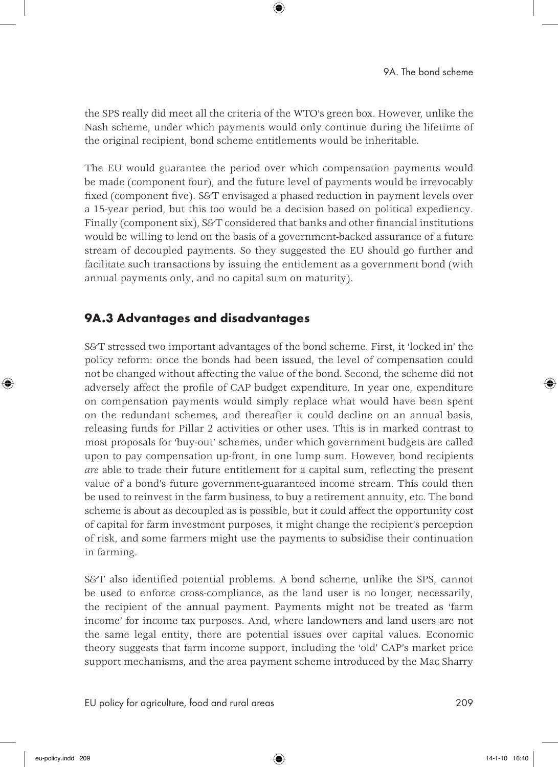the SPS really did meet all the criteria of the WTO's green box. However, unlike the Nash scheme, under which payments would only continue during the lifetime of the original recipient, bond scheme entitlements would be inheritable.

The EU would guarantee the period over which compensation payments would be made (component four), and the future level of payments would be irrevocably fixed (component five). S&T envisaged a phased reduction in payment levels over a 15-year period, but this too would be a decision based on political expediency. Finally (component six), S&T considered that banks and other financial institutions would be willing to lend on the basis of a government-backed assurance of a future stream of decoupled payments. So they suggested the EU should go further and facilitate such transactions by issuing the entitlement as a government bond (with annual payments only, and no capital sum on maturity).

#### 9A.3 Advantages and disadvantages

S&T stressed two important advantages of the bond scheme. First, it 'locked in' the policy reform: once the bonds had been issued, the level of compensation could not be changed without affecting the value of the bond. Second, the scheme did not adversely affect the profile of CAP budget expenditure. In year one, expenditure on compensation payments would simply replace what would have been spent on the redundant schemes, and thereafter it could decline on an annual basis, releasing funds for Pillar 2 activities or other uses. This is in marked contrast to most proposals for 'buy-out' schemes, under which government budgets are called upon to pay compensation up-front, in one lump sum. However, bond recipients *are* able to trade their future entitlement for a capital sum, reflecting the present value of a bond's future government-guaranteed income stream. This could then be used to reinvest in the farm business, to buy a retirement annuity, etc. The bond scheme is about as decoupled as is possible, but it could affect the opportunity cost of capital for farm investment purposes, it might change the recipient's perception of risk, and some farmers might use the payments to subsidise their continuation in farming.

S&T also identified potential problems. A bond scheme, unlike the SPS, cannot be used to enforce cross-compliance, as the land user is no longer, necessarily, the recipient of the annual payment. Payments might not be treated as 'farm income' for income tax purposes. And, where landowners and land users are not the same legal entity, there are potential issues over capital values. Economic theory suggests that farm income support, including the 'old' CAP's market price support mechanisms, and the area payment scheme introduced by the Mac Sharry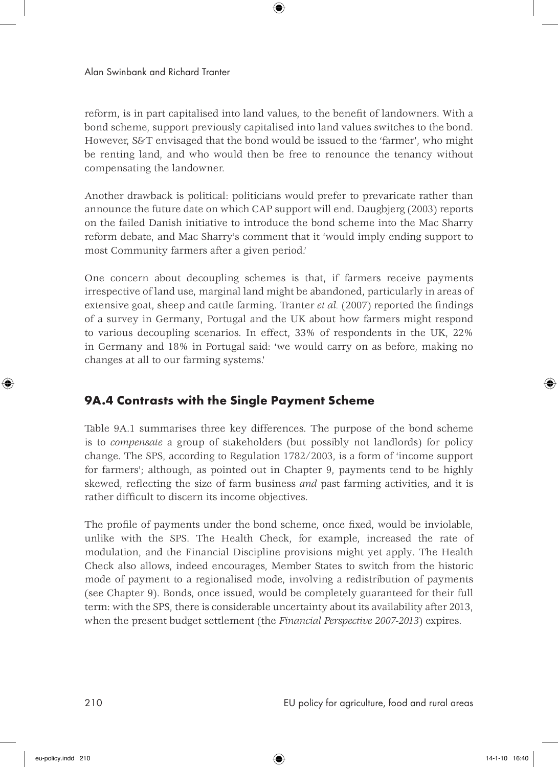reform, is in part capitalised into land values, to the benefit of landowners. With a bond scheme, support previously capitalised into land values switches to the bond. However, S&T envisaged that the bond would be issued to the 'farmer', who might be renting land, and who would then be free to renounce the tenancy without compensating the landowner.

Another drawback is political: politicians would prefer to prevaricate rather than announce the future date on which CAP support will end. Daugbjerg (2003) reports on the failed Danish initiative to introduce the bond scheme into the Mac Sharry reform debate, and Mac Sharry's comment that it 'would imply ending support to most Community farmers after a given period.'

One concern about decoupling schemes is that, if farmers receive payments irrespective of land use, marginal land might be abandoned, particularly in areas of extensive goat, sheep and cattle farming. Tranter *et al.* (2007) reported the findings of a survey in Germany, Portugal and the UK about how farmers might respond to various decoupling scenarios. In effect, 33% of respondents in the UK, 22% in Germany and 18% in Portugal said: 'we would carry on as before, making no changes at all to our farming systems.'

#### 9A.4 Contrasts with the Single Payment Scheme

Table 9A.1 summarises three key differences. The purpose of the bond scheme is to *compensate* a group of stakeholders (but possibly not landlords) for policy change. The SPS, according to Regulation 1782/2003, is a form of 'income support for farmers'; although, as pointed out in Chapter 9, payments tend to be highly skewed, reflecting the size of farm business *and* past farming activities, and it is rather difficult to discern its income objectives.

The profile of payments under the bond scheme, once fixed, would be inviolable, unlike with the SPS. The Health Check, for example, increased the rate of modulation, and the Financial Discipline provisions might yet apply. The Health Check also allows, indeed encourages, Member States to switch from the historic mode of payment to a regionalised mode, involving a redistribution of payments (see Chapter 9). Bonds, once issued, would be completely guaranteed for their full term: with the SPS, there is considerable uncertainty about its availability after 2013, when the present budget settlement (the *Financial Perspective 2007-2013*) expires.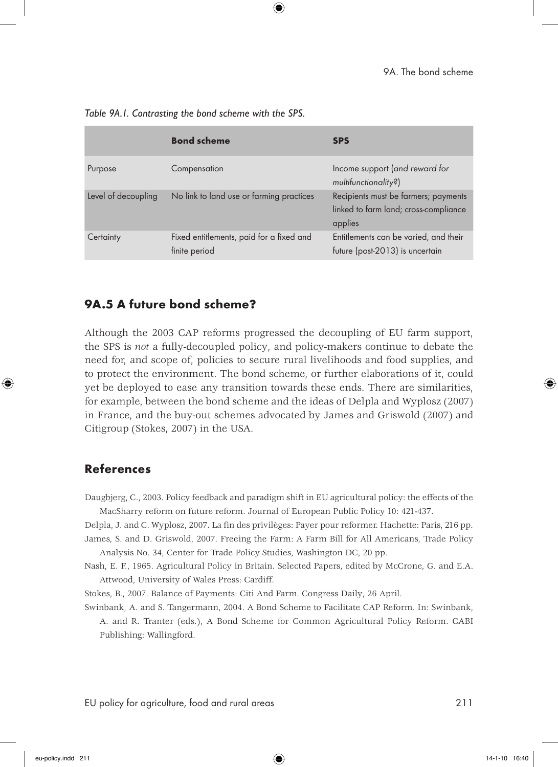|                     | <b>Bond scheme</b>                                        | <b>SPS</b>                                                                               |
|---------------------|-----------------------------------------------------------|------------------------------------------------------------------------------------------|
| Purpose             | Compensation                                              | Income support (and reward for<br>multifunctionality?)                                   |
| Level of decoupling | No link to land use or farming practices                  | Recipients must be farmers; payments<br>linked to farm land; cross-compliance<br>applies |
| Certainty           | Fixed entitlements, paid for a fixed and<br>finite period | Entitlements can be varied, and their<br>future (post-2013) is uncertain                 |

*Table 9A.1. Contrasting the bond scheme with the SPS.*

#### 9A.5 A future bond scheme?

Although the 2003 CAP reforms progressed the decoupling of EU farm support, the SPS is *not* a fully-decoupled policy, and policy-makers continue to debate the need for, and scope of, policies to secure rural livelihoods and food supplies, and to protect the environment. The bond scheme, or further elaborations of it, could yet be deployed to ease any transition towards these ends. There are similarities, for example, between the bond scheme and the ideas of Delpla and Wyplosz (2007) in France, and the buy-out schemes advocated by James and Griswold (2007) and Citigroup (Stokes, 2007) in the USA.

#### References

Daugbjerg, C., 2003. Policy feedback and paradigm shift in EU agricultural policy: the effects of the MacSharry reform on future reform. Journal of European Public Policy 10: 421-437.

Delpla, J. and C. Wyplosz, 2007. La fin des privilèges: Payer pour reformer. Hachette: Paris, 216 pp. James, S. and D. Griswold, 2007. Freeing the Farm: A Farm Bill for All Americans, Trade Policy

Analysis No. 34, Center for Trade Policy Studies, Washington DC, 20 pp.

Nash, E. F., 1965. Agricultural Policy in Britain. Selected Papers, edited by McCrone, G. and E.A. Attwood, University of Wales Press: Cardiff.

Stokes, B., 2007. Balance of Payments: Citi And Farm. Congress Daily, 26 April.

Swinbank, A. and S. Tangermann, 2004. A Bond Scheme to Facilitate CAP Reform. In: Swinbank, A. and R. Tranter (eds.), A Bond Scheme for Common Agricultural Policy Reform. CABI Publishing: Wallingford.